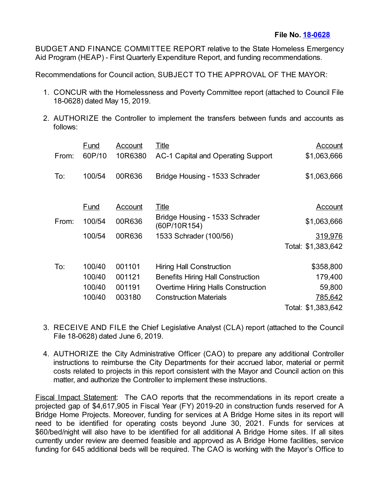BUDGET AND FINANCE COMMITTEE REPORT relative to the State Homeless Emergency Aid Program (HEAP) - First Quarterly Expenditure Report, and funding recommendations.

Recommendations for Council action, SUBJECT TO THE APPROVAL OF THE MAYOR:

- 1. CONCUR with the Homelessness and Poverty Committee report (attached to Council File 18-0628) dated May 15, 2019.
- 2. AUTHORIZE the Controller to implement the transfers between funds and accounts as follows:

|       | Fund        | Account | <b>Title</b>                                   | <b>Account</b>     |
|-------|-------------|---------|------------------------------------------------|--------------------|
| From: | 60P/10      | 10R6380 | AC-1 Capital and Operating Support             | \$1,063,666        |
| To:   | 100/54      | 00R636  | Bridge Housing - 1533 Schrader                 | \$1,063,666        |
|       | <b>Fund</b> | Account | <b>Title</b>                                   | <b>Account</b>     |
| From: | 100/54      | 00R636  | Bridge Housing - 1533 Schrader<br>(60P/10R154) | \$1,063,666        |
|       | 100/54      | 00R636  | 1533 Schrader (100/56)                         | 319,976            |
|       |             |         |                                                | Total: \$1,383,642 |
| To:   | 100/40      | 001101  | <b>Hiring Hall Construction</b>                | \$358,800          |
|       | 100/40      | 001121  | <b>Benefits Hiring Hall Construction</b>       | 179,400            |
|       | 100/40      | 001191  | <b>Overtime Hiring Halls Construction</b>      | 59,800             |
|       | 100/40      | 003180  | <b>Construction Materials</b>                  | 785,642            |
|       |             |         |                                                | Total: \$1,383,642 |

- 3. RECEIVE AND FILE the Chief Legislative Analyst (CLA) report (attached to the Council File 18-0628) dated June 6, 2019.
- 4. AUTHORIZE the City Administrative Officer (CAO) to prepare any additional Controller instructions to reimburse the City Departments for their accrued labor, material or permit costs related to projects in this report consistent with the Mayor and Council action on this matter, and authorize the Controller to implement these instructions.

Fiscal Impact Statement: The CAO reports that the recommendations in its report create a projected gap of \$4,617,905 in Fiscal Year (FY) 2019-20 in construction funds reserved for A Bridge Home Projects. Moreover, funding for services at A Bridge Home sites in its report will need to be identified for operating costs beyond June 30, 2021. Funds for services at \$60/bed/night will also have to be identified for all additional A Bridge Home sites. If all sites currently under review are deemed feasible and approved as A Bridge Home facilities, service funding for 645 additional beds will be required. The CAO is working with the Mayor's Office to